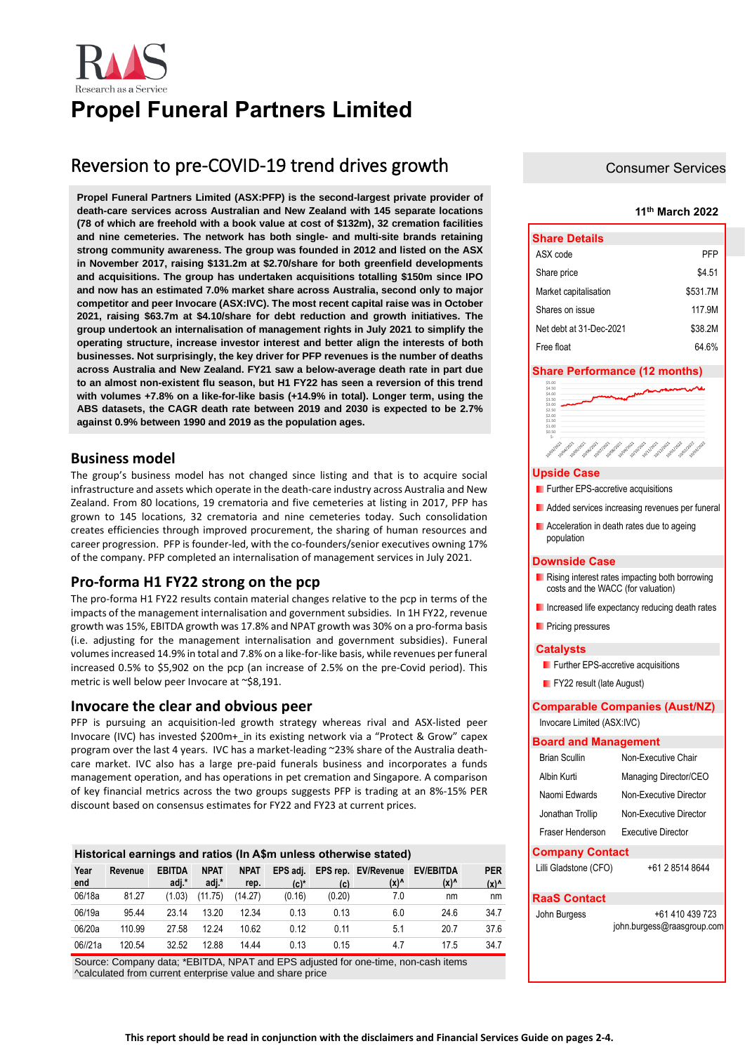

# **Propel Funeral Partners Limited**

## Reversion to pre-COVID-19 trend drives growth

**Propel Funeral Partners Limited (ASX:PFP) is the second-largest private provider of death-care services across Australian and New Zealand with 145 separate locations (78 of which are freehold with a book value at cost of \$132m), 32 cremation facilities and nine cemeteries. The network has both single- and multi-site brands retaining strong community awareness. The group was founded in 2012 and listed on the ASX in November 2017, raising \$131.2m at \$2.70/share for both greenfield developments and acquisitions. The group has undertaken acquisitions totalling \$150m since IPO and now has an estimated 7.0% market share across Australia, second only to major competitor and peer Invocare (ASX:IVC). The most recent capital raise was in October 2021, raising \$63.7m at \$4.10/share for debt reduction and growth initiatives. The group undertook an internalisation of management rights in July 2021 to simplify the operating structure, increase investor interest and better align the interests of both businesses. Not surprisingly, the key driver for PFP revenues is the number of deaths across Australia and New Zealand. FY21 saw a below-average death rate in part due to an almost non-existent flu season, but H1 FY22 has seen a reversion of this trend with volumes +7.8% on a like-for-like basis (+14.9% in total). Longer term, using the ABS datasets, the CAGR death rate between 2019 and 2030 is expected to be 2.7% against 0.9% between 1990 and 2019 as the population ages.**

### **Business model**

The group's business model has not changed since listing and that is to acquire social infrastructure and assets which operate in the death-care industry across Australia and New Zealand. From 80 locations, 19 crematoria and five cemeteries at listing in 2017, PFP has grown to 145 locations, 32 crematoria and nine cemeteries today. Such consolidation creates efficiencies through improved procurement, the sharing of human resources and career progression. PFP is founder-led, with the co-founders/senior executives owning 17% of the company. PFP completed an internalisation of management services in July 2021.

### **Pro-forma H1 FY22 strong on the pcp**

The pro-forma H1 FY22 results contain material changes relative to the pcp in terms of the impacts of the management internalisation and government subsidies. In 1H FY22, revenue growth was 15%, EBITDA growth was 17.8% and NPAT growth was 30% on a pro-forma basis (i.e. adjusting for the management internalisation and government subsidies). Funeral volumes increased 14.9% in total and 7.8% on a like-for-like basis, while revenues per funeral increased 0.5% to \$5,902 on the pcp (an increase of 2.5% on the pre-Covid period). This metric is well below peer Invocare at ~\$8,191.

### **Invocare the clear and obvious peer**

PFP is pursuing an acquisition-led growth strategy whereas rival and ASX-listed peer Invocare (IVC) has invested \$200m+\_in its existing network via a "Protect & Grow" capex program over the last 4 years. IVC has a market-leading ~23% share of the Australia deathcare market. IVC also has a large pre-paid funerals business and incorporates a funds management operation, and has operations in pet cremation and Singapore. A comparison of key financial metrics across the two groups suggests PFP is trading at an 8%-15% PER discount based on consensus estimates for FY22 and FY23 at current prices.

| Historical earnings and ratios (In A\$m unless otherwise stated) |         |                        |                      |                     |                     |        |                                        |                          |                   |  |
|------------------------------------------------------------------|---------|------------------------|----------------------|---------------------|---------------------|--------|----------------------------------------|--------------------------|-------------------|--|
| Year<br>end                                                      | Revenue | <b>EBITDA</b><br>adj.* | <b>NPAT</b><br>adj.* | <b>NPAT</b><br>rep. | EPS adi.<br>$(c)^*$ | (c)    | EPS rep. EV/Revenue<br>$(x)^{\Lambda}$ | <b>EV/EBITDA</b><br>(x)^ | <b>PER</b><br>(x) |  |
| 06/18a                                                           | 81.27   | (1.03)                 | (11.75)              | (14.27)             | (0.16)              | (0.20) | 7.0                                    | nm                       | nm                |  |
| 06/19a                                                           | 95.44   | 23 14                  | 13.20                | 12.34               | 0.13                | 0.13   | 6.0                                    | 24.6                     | 34.7              |  |
| 06/20a                                                           | 110.99  | 27.58                  | 12.24                | 10.62               | 0.12                | 0.11   | 5.1                                    | 20.7                     | 37.6              |  |
| 06//21a                                                          | 120.54  | 32.52                  | 12.88                | 14 44               | 0.13                | 0.15   | 4.7                                    | 17.5                     | 34.7              |  |

Source: Company data; \*EBITDA, NPAT and EPS adjusted for one-time, non-cash items ^calculated from current enterprise value and share price

### Consumer Services

### **11th March 2022**

| <b>Share Details</b>    |          |  |  |  |  |
|-------------------------|----------|--|--|--|--|
| ASX code                | PFP      |  |  |  |  |
| Share price             | \$4.51   |  |  |  |  |
| Market capitalisation   | \$531.7M |  |  |  |  |
| Shares on issue         | 117 9M   |  |  |  |  |
| Net debt at 31-Dec-2021 | \$38.2M  |  |  |  |  |
| Free float              | 64 6%    |  |  |  |  |

### **Share Performance (12 months)**

| \$3.50<br>\$3.00<br>\$2.50<br>\$2.00<br>\$1.50<br>\$1.00<br>\$0.50<br><b>Polosizon</b><br><b>Jollantin</b><br><b>volonizon</b><br><b>Lollogizon</b><br><b>Lollephone</b><br><b>Jolpulage</b><br><b>Following</b><br>10/03/2023<br><b>Lolland</b><br><b>Jollablack</b><br><b>volvement</b><br><b>voltages</b><br><b>Johnson</b><br><b>Upside Case</b><br>Further EPS-accretive acquisitions<br>Added services increasing revenues per funeral<br><b>E</b> Acceleration in death rates due to ageing<br>population<br>Downside Case<br><b>E</b> Rising interest rates impacting both borrowing<br>costs and the WACC (for valuation)<br>Increased life expectancy reducing death rates<br><b>Pricing pressures</b><br>Catalysts<br>Further EPS-accretive acquisitions<br>$\blacksquare$ FY22 result (late August)<br><b>Comparable Companies (Aust/NZ)</b><br>Invocare Limited (ASX:IVC)<br><b>Board and Management</b><br><b>Brian Scullin</b><br>Non-Executive Chair<br>Albin Kurti<br>Managing Director/CEO<br>Naomi Edwards<br>Non-Executive Director<br>Jonathan Trollip<br>Non-Executive Director<br>Fraser Henderson<br><b>Executive Director</b><br><b>Company Contact</b><br>+61 2 8514 8644<br>Lilli Gladstone (CFO)<br><b>RaaS Contact</b><br>John Burgess<br>+61 410 439 723<br>john.burgess@raasgroup.com | \$5.00<br>\$4.50<br>\$4.00 |  |  |  |  |  |  |  |  |
|----------------------------------------------------------------------------------------------------------------------------------------------------------------------------------------------------------------------------------------------------------------------------------------------------------------------------------------------------------------------------------------------------------------------------------------------------------------------------------------------------------------------------------------------------------------------------------------------------------------------------------------------------------------------------------------------------------------------------------------------------------------------------------------------------------------------------------------------------------------------------------------------------------------------------------------------------------------------------------------------------------------------------------------------------------------------------------------------------------------------------------------------------------------------------------------------------------------------------------------------------------------------------------------------------------------------|----------------------------|--|--|--|--|--|--|--|--|
|                                                                                                                                                                                                                                                                                                                                                                                                                                                                                                                                                                                                                                                                                                                                                                                                                                                                                                                                                                                                                                                                                                                                                                                                                                                                                                                      |                            |  |  |  |  |  |  |  |  |
|                                                                                                                                                                                                                                                                                                                                                                                                                                                                                                                                                                                                                                                                                                                                                                                                                                                                                                                                                                                                                                                                                                                                                                                                                                                                                                                      |                            |  |  |  |  |  |  |  |  |
|                                                                                                                                                                                                                                                                                                                                                                                                                                                                                                                                                                                                                                                                                                                                                                                                                                                                                                                                                                                                                                                                                                                                                                                                                                                                                                                      |                            |  |  |  |  |  |  |  |  |
|                                                                                                                                                                                                                                                                                                                                                                                                                                                                                                                                                                                                                                                                                                                                                                                                                                                                                                                                                                                                                                                                                                                                                                                                                                                                                                                      |                            |  |  |  |  |  |  |  |  |
|                                                                                                                                                                                                                                                                                                                                                                                                                                                                                                                                                                                                                                                                                                                                                                                                                                                                                                                                                                                                                                                                                                                                                                                                                                                                                                                      |                            |  |  |  |  |  |  |  |  |
|                                                                                                                                                                                                                                                                                                                                                                                                                                                                                                                                                                                                                                                                                                                                                                                                                                                                                                                                                                                                                                                                                                                                                                                                                                                                                                                      |                            |  |  |  |  |  |  |  |  |
|                                                                                                                                                                                                                                                                                                                                                                                                                                                                                                                                                                                                                                                                                                                                                                                                                                                                                                                                                                                                                                                                                                                                                                                                                                                                                                                      |                            |  |  |  |  |  |  |  |  |
|                                                                                                                                                                                                                                                                                                                                                                                                                                                                                                                                                                                                                                                                                                                                                                                                                                                                                                                                                                                                                                                                                                                                                                                                                                                                                                                      |                            |  |  |  |  |  |  |  |  |
|                                                                                                                                                                                                                                                                                                                                                                                                                                                                                                                                                                                                                                                                                                                                                                                                                                                                                                                                                                                                                                                                                                                                                                                                                                                                                                                      |                            |  |  |  |  |  |  |  |  |
|                                                                                                                                                                                                                                                                                                                                                                                                                                                                                                                                                                                                                                                                                                                                                                                                                                                                                                                                                                                                                                                                                                                                                                                                                                                                                                                      |                            |  |  |  |  |  |  |  |  |
|                                                                                                                                                                                                                                                                                                                                                                                                                                                                                                                                                                                                                                                                                                                                                                                                                                                                                                                                                                                                                                                                                                                                                                                                                                                                                                                      |                            |  |  |  |  |  |  |  |  |
|                                                                                                                                                                                                                                                                                                                                                                                                                                                                                                                                                                                                                                                                                                                                                                                                                                                                                                                                                                                                                                                                                                                                                                                                                                                                                                                      |                            |  |  |  |  |  |  |  |  |
|                                                                                                                                                                                                                                                                                                                                                                                                                                                                                                                                                                                                                                                                                                                                                                                                                                                                                                                                                                                                                                                                                                                                                                                                                                                                                                                      |                            |  |  |  |  |  |  |  |  |
|                                                                                                                                                                                                                                                                                                                                                                                                                                                                                                                                                                                                                                                                                                                                                                                                                                                                                                                                                                                                                                                                                                                                                                                                                                                                                                                      |                            |  |  |  |  |  |  |  |  |
|                                                                                                                                                                                                                                                                                                                                                                                                                                                                                                                                                                                                                                                                                                                                                                                                                                                                                                                                                                                                                                                                                                                                                                                                                                                                                                                      |                            |  |  |  |  |  |  |  |  |
|                                                                                                                                                                                                                                                                                                                                                                                                                                                                                                                                                                                                                                                                                                                                                                                                                                                                                                                                                                                                                                                                                                                                                                                                                                                                                                                      |                            |  |  |  |  |  |  |  |  |
|                                                                                                                                                                                                                                                                                                                                                                                                                                                                                                                                                                                                                                                                                                                                                                                                                                                                                                                                                                                                                                                                                                                                                                                                                                                                                                                      |                            |  |  |  |  |  |  |  |  |
|                                                                                                                                                                                                                                                                                                                                                                                                                                                                                                                                                                                                                                                                                                                                                                                                                                                                                                                                                                                                                                                                                                                                                                                                                                                                                                                      |                            |  |  |  |  |  |  |  |  |
|                                                                                                                                                                                                                                                                                                                                                                                                                                                                                                                                                                                                                                                                                                                                                                                                                                                                                                                                                                                                                                                                                                                                                                                                                                                                                                                      |                            |  |  |  |  |  |  |  |  |
|                                                                                                                                                                                                                                                                                                                                                                                                                                                                                                                                                                                                                                                                                                                                                                                                                                                                                                                                                                                                                                                                                                                                                                                                                                                                                                                      |                            |  |  |  |  |  |  |  |  |
|                                                                                                                                                                                                                                                                                                                                                                                                                                                                                                                                                                                                                                                                                                                                                                                                                                                                                                                                                                                                                                                                                                                                                                                                                                                                                                                      |                            |  |  |  |  |  |  |  |  |
|                                                                                                                                                                                                                                                                                                                                                                                                                                                                                                                                                                                                                                                                                                                                                                                                                                                                                                                                                                                                                                                                                                                                                                                                                                                                                                                      |                            |  |  |  |  |  |  |  |  |
|                                                                                                                                                                                                                                                                                                                                                                                                                                                                                                                                                                                                                                                                                                                                                                                                                                                                                                                                                                                                                                                                                                                                                                                                                                                                                                                      |                            |  |  |  |  |  |  |  |  |
|                                                                                                                                                                                                                                                                                                                                                                                                                                                                                                                                                                                                                                                                                                                                                                                                                                                                                                                                                                                                                                                                                                                                                                                                                                                                                                                      |                            |  |  |  |  |  |  |  |  |
|                                                                                                                                                                                                                                                                                                                                                                                                                                                                                                                                                                                                                                                                                                                                                                                                                                                                                                                                                                                                                                                                                                                                                                                                                                                                                                                      |                            |  |  |  |  |  |  |  |  |
|                                                                                                                                                                                                                                                                                                                                                                                                                                                                                                                                                                                                                                                                                                                                                                                                                                                                                                                                                                                                                                                                                                                                                                                                                                                                                                                      |                            |  |  |  |  |  |  |  |  |
|                                                                                                                                                                                                                                                                                                                                                                                                                                                                                                                                                                                                                                                                                                                                                                                                                                                                                                                                                                                                                                                                                                                                                                                                                                                                                                                      |                            |  |  |  |  |  |  |  |  |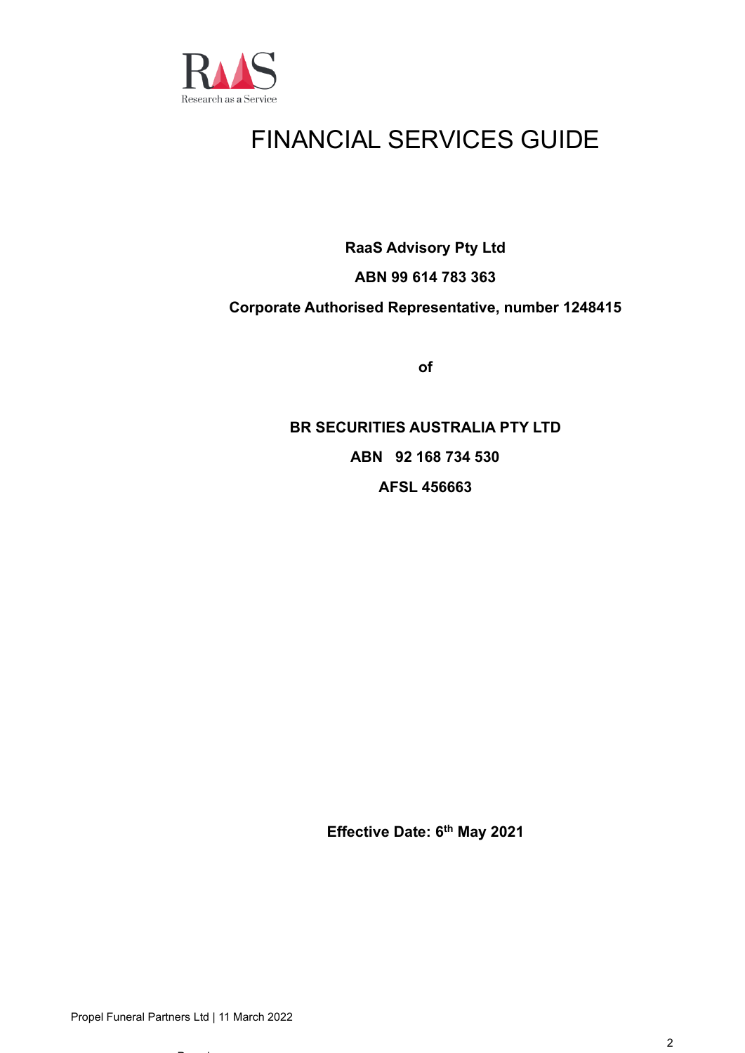

# FINANCIAL SERVICES GUIDE

**RaaS Advisory Pty Ltd**

## **ABN 99 614 783 363**

### **Corporate Authorised Representative, number 1248415**

**of**

**BR SECURITIES AUSTRALIA PTY LTD ABN 92 168 734 530 AFSL 456663**

**Effective Date: 6 th May 2021**

 $-$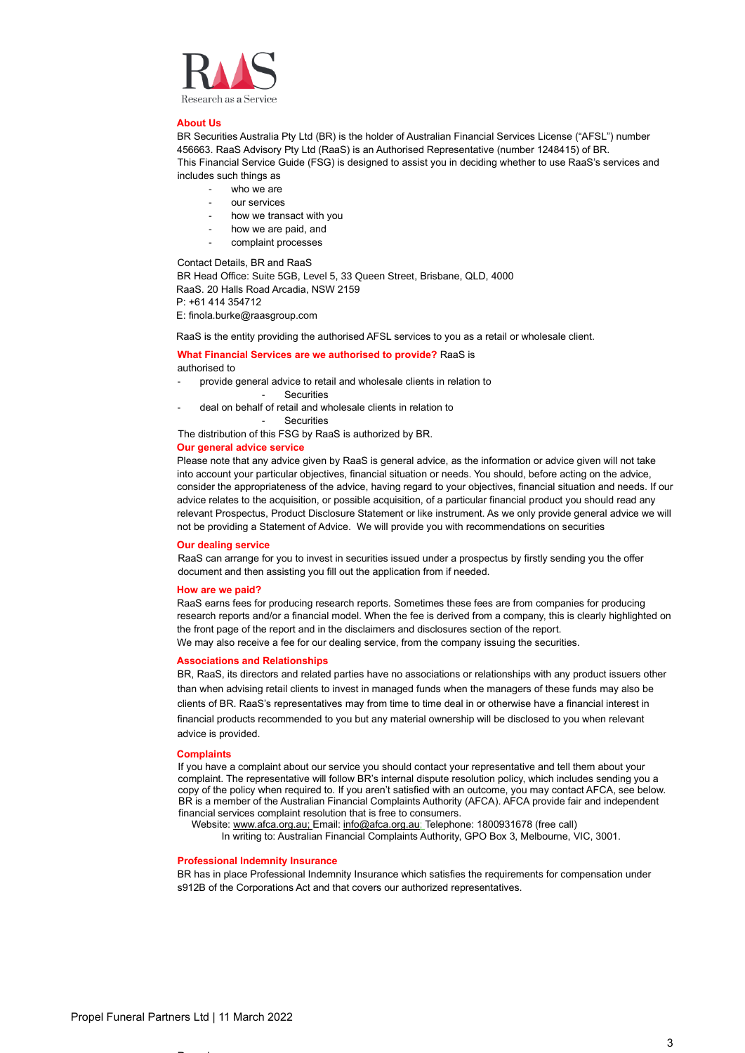

#### **About Us**

BR Securities Australia Pty Ltd (BR) is the holder of Australian Financial Services License ("AFSL") number 456663. RaaS Advisory Pty Ltd (RaaS) is an Authorised Representative (number 1248415) of BR. This Financial Service Guide (FSG) is designed to assist you in deciding whether to use RaaS's services and includes such things as

- who we are
- our services
- how we transact with you
- how we are paid, and
- complaint processes

Contact Details, BR and RaaS

BR Head Office: Suite 5GB, Level 5, 33 Queen Street, Brisbane, QLD, 4000 RaaS. 20 Halls Road Arcadia, NSW 2159 P: +61 414 354712

E: finola.burke@raasgroup.com

RaaS is the entity providing the authorised AFSL services to you as a retail or wholesale client.

### **What Financial Services are we authorised to provide?** RaaS is authorised to

- provide general advice to retail and wholesale clients in relation to
	- Securities
- deal on behalf of retail and wholesale clients in relation to

**Securities** 

The distribution of this FSG by RaaS is authorized by BR.

### **Our general advice service**

Please note that any advice given by RaaS is general advice, as the information or advice given will not take into account your particular objectives, financial situation or needs. You should, before acting on the advice, consider the appropriateness of the advice, having regard to your objectives, financial situation and needs. If our advice relates to the acquisition, or possible acquisition, of a particular financial product you should read any relevant Prospectus, Product Disclosure Statement or like instrument. As we only provide general advice we will not be providing a Statement of Advice. We will provide you with recommendations on securities

#### **Our dealing service**

RaaS can arrange for you to invest in securities issued under a prospectus by firstly sending you the offer document and then assisting you fill out the application from if needed.

#### **How are we paid?**

RaaS earns fees for producing research reports. Sometimes these fees are from companies for producing research reports and/or a financial model. When the fee is derived from a company, this is clearly highlighted on the front page of the report and in the disclaimers and disclosures section of the report. We may also receive a fee for our dealing service, from the company issuing the securities.

### **Associations and Relationships**

BR, RaaS, its directors and related parties have no associations or relationships with any product issuers other than when advising retail clients to invest in managed funds when the managers of these funds may also be clients of BR. RaaS's representatives may from time to time deal in or otherwise have a financial interest in financial products recommended to you but any material ownership will be disclosed to you when relevant advice is provided.

#### **Complaints**

If you have a complaint about our service you should contact your representative and tell them about your complaint. The representative will follow BR's internal dispute resolution policy, which includes sending you a copy of the policy when required to. If you aren't satisfied with an outcome, you may contact AFCA, see below. BR is a member of the Australian Financial Complaints Authority (AFCA). AFCA provide fair and independent financial services complaint resolution that is free to consumers.

Website[: www.afca.org.au;](about:blank) Email[: info@afca.org.au;](about:blank) Telephone: 1800931678 (free call)

In writing to: Australian Financial Complaints Authority, GPO Box 3, Melbourne, VIC, 3001.

### **Professional Indemnity Insurance**

BR has in place Professional Indemnity Insurance which satisfies the requirements for compensation under s912B of the Corporations Act and that covers our authorized representatives.

 $-$